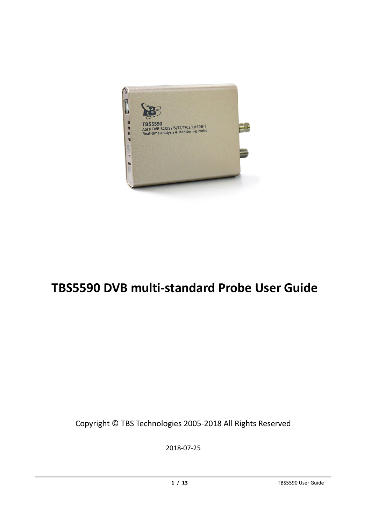

# **TBS5590 DVB multi-standard Probe User Guide**

Copyright © TBS Technologies 2005-2018 All Rights Reserved

2018-07-25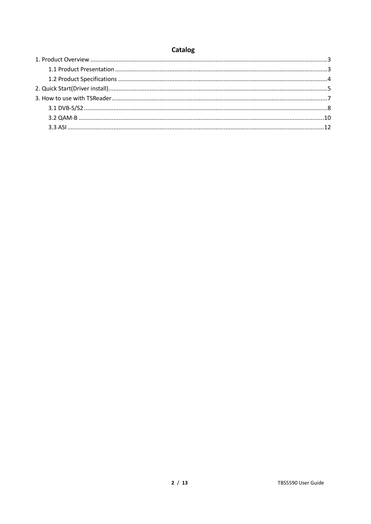# **Catalog**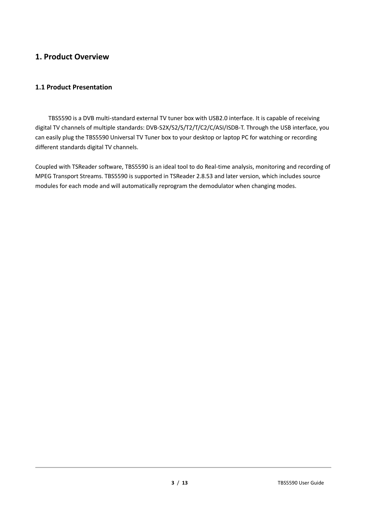### <span id="page-2-0"></span>**1. Product Overview**

#### <span id="page-2-1"></span>**1.1 Product Presentation**

TBS5590 is a DVB multi-standard external TV tuner box with USB2.0 interface. It is capable of receiving digital TV channels of multiple standards: DVB-S2X/S2/S/T2/T/C2/C/ASI/ISDB-T. Through the USB interface, you can easily plug the TBS5590 Universal TV Tuner box to your desktop or laptop PC for watching or recording different standards digital TV channels.

Coupled with TSReader software, TBS5590 is an ideal tool to do Real-time analysis, monitoring and recording of MPEG Transport Streams. TBS5590 is supported in TSReader 2.8.53 and later version, which includes source modules for each mode and will automatically reprogram the demodulator when changing modes.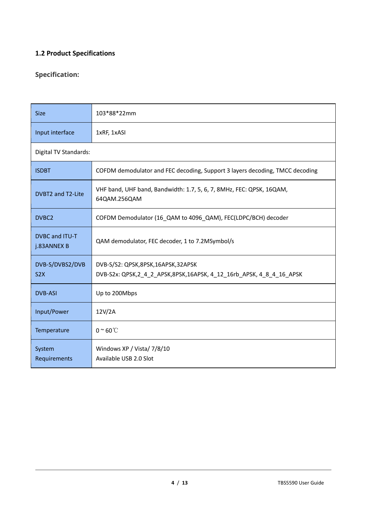#### <span id="page-3-0"></span>**1.2 Product Specifications**

#### **Specification:**

| <b>Size</b>                         | 103*88*22mm                                                                                                 |
|-------------------------------------|-------------------------------------------------------------------------------------------------------------|
| Input interface                     | 1xRF, 1xASI                                                                                                 |
| Digital TV Standards:               |                                                                                                             |
| <b>ISDBT</b>                        | COFDM demodulator and FEC decoding, Support 3 layers decoding, TMCC decoding                                |
| DVBT2 and T2-Lite                   | VHF band, UHF band, Bandwidth: 1.7, 5, 6, 7, 8MHz, FEC: QPSK, 16QAM,<br>64QAM.256QAM                        |
| DVBC <sub>2</sub>                   | COFDM Demodulator (16 QAM to 4096 QAM), FEC(LDPC/BCH) decoder                                               |
| DVBC and ITU-T<br>j.83ANNEX B       | QAM demodulator, FEC decoder, 1 to 7.2MSymbol/s                                                             |
| DVB-S/DVBS2/DVB<br>S <sub>2</sub> X | DVB-S/S2: QPSK,8PSK,16APSK,32APSK<br>DVB-S2x: QPSK, 2_4_2_APSK, 8PSK, 16APSK, 4_12_16rb_APSK, 4_8_4_16_APSK |
| <b>DVB-ASI</b>                      | Up to 200Mbps                                                                                               |
| Input/Power                         | 12V/2A                                                                                                      |
| Temperature                         | $0~\textdegree$ 60 $\textdegree$ C                                                                          |
| System<br>Requirements              | Windows XP / Vista/ 7/8/10<br>Available USB 2.0 Slot                                                        |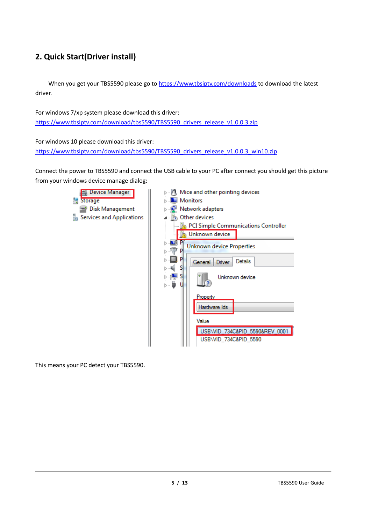# <span id="page-4-0"></span>**2. Quick Start(Driver install)**

When you get your TBS5590 please go t[o https://www.tbsiptv.com/downloads](https://www.tbsiptv.com/downloads) to download the latest driver.

For windows 7/xp system please download this driver: [https://www.tbsiptv.com/download/tbs5590/TBS5590\\_drivers\\_release\\_v1.0.0.3.zip](https://www.tbsiptv.com/download/tbs5590/TBS5590_drivers_release_v1.0.0.3.zip)

For windows 10 please download this driver: [https://www.tbsiptv.com/download/tbs5590/TBS5590\\_drivers\\_release\\_v1.0.0.3\\_win10.zip](https://www.tbsiptv.com/download/tbs5590/TBS5590_drivers_release_v1.0.0.3_win10.zip)

Connect the power to TBS5590 and connect the USB cable to your PC after connect you should get this picture from your windows device manage dialog:



This means your PC detect your TBS5590.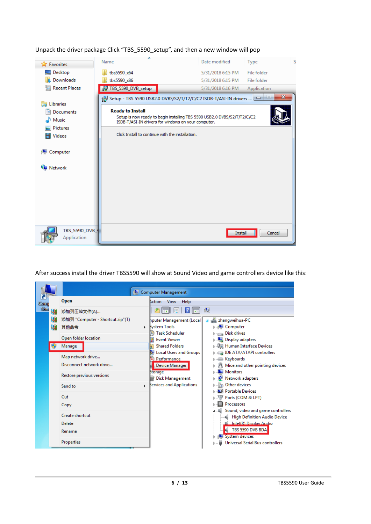| <b>E</b> Favorites                    | Name                                             | Date modified                                                                                                                                   | S<br>Type                        |
|---------------------------------------|--------------------------------------------------|-------------------------------------------------------------------------------------------------------------------------------------------------|----------------------------------|
| Desktop                               | tbs5590 x64                                      | 5/31/2018 6:15 PM                                                                                                                               | File folder                      |
| Downloads                             | tbs5590_x86                                      | 5/31/2018 6:15 PM                                                                                                                               | File folder                      |
| 圖 Recent Places                       | TBS_5590_DVB_setup                               | 5/31/2018 6:16 PM                                                                                                                               | Application                      |
| <b>Libraries</b><br><b>Documents</b>  | <b>Ready to Install</b>                          | For Setup - TBS 5590 USB2.0 DVBS/S2/T/T2/C/C2 ISDB-T/ASI-IN drivers<br>Setup is now ready to begin installing TBS 5590 USB2.0 DVBS/S2/T/T2/C/C2 | $\mathbf{x}$<br>$\Box$<br>$\Box$ |
| Music                                 |                                                  | ISDB-T/ASI-IN drivers for windows on your computer.                                                                                             |                                  |
| <b>Pictures</b><br><b>Videos</b><br>Ħ | Click Install to continue with the installation. |                                                                                                                                                 |                                  |
| <b>I</b> Computer                     |                                                  |                                                                                                                                                 |                                  |
| <b>Wallen</b> Network                 |                                                  |                                                                                                                                                 |                                  |
|                                       |                                                  |                                                                                                                                                 |                                  |
|                                       |                                                  |                                                                                                                                                 |                                  |
|                                       |                                                  |                                                                                                                                                 |                                  |
|                                       |                                                  |                                                                                                                                                 |                                  |
| TBS_5590_DVB_s<br>Application         |                                                  |                                                                                                                                                 | Install<br>Cancel                |

Unpack the driver package Click "TBS\_5590\_setup", and then a new window will pop

After success install the driver TBS5590 will show at Sound Video and game controllers device like this:

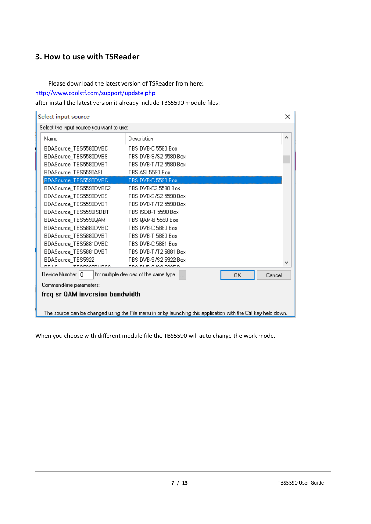# <span id="page-6-0"></span>**3. How to use with TSReader**

Please download the latest version of TSReader from here:

<http://www.coolstf.com/support/update.php>

after install the latest version it already include TBS5590 module files:

| Select input source                      |                                                                                                                |    | $\times$ |
|------------------------------------------|----------------------------------------------------------------------------------------------------------------|----|----------|
| Select the input source you want to use: |                                                                                                                |    |          |
| Name                                     | Description                                                                                                    |    | ∧        |
| BDASource_TBS5580DVBC                    | TBS DVB-C 5580 Box                                                                                             |    |          |
| BDASource_TBS5580DVBS                    | TBS DVB-S/S2 5580 Box                                                                                          |    |          |
| BDASource TBS5580DVBT                    | TBS DVB-T/T2 5580 Box                                                                                          |    |          |
| BDASource_TBS5590ASI                     | TBS ASI 5590 Box                                                                                               |    |          |
| BDASource_TBS5590DVBC                    | TBS DVB-C 5590 Box                                                                                             |    |          |
| BDASource_TBS5590DVBC2                   | TBS DVB-C2 5590 Box                                                                                            |    |          |
| BDASource_TBS5590DVBS                    | TBS DVB-S/S2 5590 Box                                                                                          |    |          |
| BDASource_TBS5590DVBT                    | TBS DVB-T/T2 5590 Box                                                                                          |    |          |
| BDASource_TBS5590ISDBT                   | TBS ISDB-T 5590 Box                                                                                            |    |          |
| BDASource_TBS5590QAM                     | TBS QAM-B 5590 Box                                                                                             |    |          |
| BDASource_TBS5880DVBC                    | TBS DVB-C 5880 Box                                                                                             |    |          |
| BDASource_TBS5880DVBT                    | TBS DVB-T 5880 Box                                                                                             |    |          |
| BDASource_TBS5881DVBC                    | TBS DVB-C 5881 Box                                                                                             |    |          |
| BDASource_TBS5881DVBT                    | TBS DVB-T/T2 5881 Box                                                                                          |    |          |
| BDASource TBS5922                        | TBS DVB-S/S2 5922 Box                                                                                          |    |          |
|                                          |                                                                                                                |    |          |
| Device Number   0                        | for multiple devices of the same type                                                                          | OΚ | Cancel   |
| Command-line parameters:                 |                                                                                                                |    |          |
| freq sr QAM inversion bandwidth          |                                                                                                                |    |          |
|                                          |                                                                                                                |    |          |
|                                          | The source can be changed using the File menu in or by launching this application with the Ctrl key held down. |    |          |

When you choose with different module file the TBS5590 will auto change the work mode.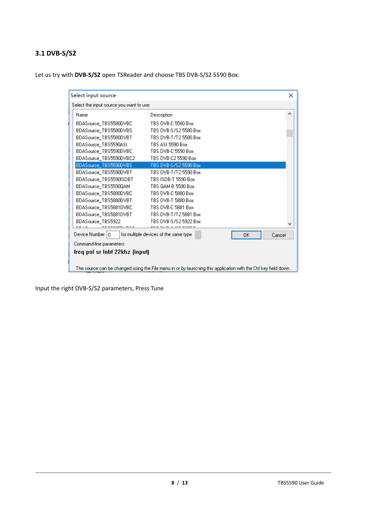# <span id="page-7-0"></span>**3.1 DVB-S/S2**

Let us try with **DVB-S/S2** open TSReader and choose TBS DVB-S/S2 5590 Box:

| Select input source                      |                                                                                                                |    | $\times$ |
|------------------------------------------|----------------------------------------------------------------------------------------------------------------|----|----------|
| Select the input source you want to use: |                                                                                                                |    |          |
| Name                                     | Description                                                                                                    |    | ٨        |
| BDASource TBS5580DVBC                    | TBS DVB-C 5580 Box                                                                                             |    |          |
| BDASource_TBS5580DVBS                    | TBS DVB-S/S2 5580 Box                                                                                          |    |          |
| BDASource TBS5580DVBT                    | TBS DVB-T/T2 5580 Box                                                                                          |    |          |
| BDASource TBS5590ASI                     | TBS ASI 5590 Box                                                                                               |    |          |
| BDASource_TBS5590DVBC                    | TBS DVB-C 5590 Box                                                                                             |    |          |
| BDASource_TBS5590DVBC2                   | TBS DVB-C2 5590 Box                                                                                            |    |          |
| BDASource TBS5590DVBS                    | TBS DVB-S/S2 5590 Box                                                                                          |    |          |
| BDASource TBS5590DVBT                    | TBS DVB-T/T2 5590 Box                                                                                          |    |          |
| BDASource TBS5590ISDBT                   | TBS ISDB-T 5590 Box                                                                                            |    |          |
| BDASource TBS5590QAM                     | TBS QAM-B 5590 Box                                                                                             |    |          |
| BDASource TBS5880DVBC                    | TBS DVB-C 5880 Box                                                                                             |    |          |
| BDASource TBS5880DVBT                    | TBS DVB-T 5880 Box                                                                                             |    |          |
| BDASource TBS5881DVBC                    | TBS DVB-C 5881 Box                                                                                             |    |          |
| BDASource TBS5881DVBT                    | TBS DVB-T/T2 5881 Box                                                                                          |    |          |
| BDASource TBS5922                        | TBS DVB-S/S2 5922 Box<br>DI ID A IDA FAAF F                                                                    |    |          |
| Device Number 10                         | for multiple devices of the same type                                                                          | OΚ | Cancel   |
| Command-line parameters:                 |                                                                                                                |    |          |
| freq pol sr Inbf 22khz {input}           |                                                                                                                |    |          |
|                                          |                                                                                                                |    |          |
|                                          | The source can be changed using the File menu in or by launching this application with the Ctrl key held down. |    |          |

Input the right DVB-S/S2 parameters, Press Tune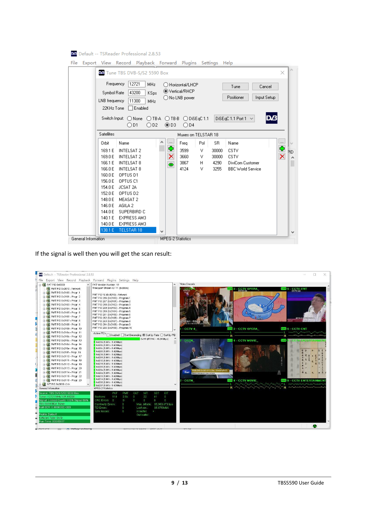| X<br>Ma Tune TBS DVB-S/S2 5590 Box<br>Frequency<br>12721<br>MHz<br>◯ Horizontal/LHCP<br>Tune<br>Cancel<br>● Vertical/RHCP<br>43200<br>Symbol Rate<br>KSps<br>Positioner<br>Input Setup<br>◯ No LNB power<br>11300<br>LNB frequency<br>MH <sub>z</sub><br>$\Box$ Enabled<br>22KHz Tone<br>DiSEqC 1.1 Port 1 $\sim$<br>вYД<br>Switch Input:<br>$O$ TB-A<br>$\bigcirc$ None<br>$O$ TB-B<br>$O$ DiSEqC 1.1<br>③D3<br>OD1<br>OD2<br>$\bigcirc$ D4<br><b>Satellites</b><br>Muxes on TELSTAR 18<br>$\overline{\phantom{a}}$<br>Α<br>$\lfloor  \rfloor$<br>Name<br>Pol<br><b>SR</b><br>Name<br>Orbit<br>Freq<br>M<br>Ф<br>Ф<br><b>INTELSAT 2</b><br>3599<br>CSTV<br>169.1 E<br>٧<br>30000<br>PID<br>×<br>×<br>169.0 E<br><b>INTELSAT 2</b><br>3660<br><b>CSTV</b><br>v<br>30000<br>3867<br>166.1 E<br><b>INTELSAT 8</b><br>4290<br>H<br>DiviCom Customer<br>$\bullet$<br>4124<br>166.0 E<br>INTELSAT 8<br>v<br>3255<br><b>BBC</b> World Service<br>160.0 E<br>OPTUS D1<br>156.0 E<br>OPTUS C1<br>154.0 E<br>JCSAT 2A<br>152.0 E<br>OPTUS D2<br>148.0 E<br>MEASAT 2<br>146.0 E<br>AGILA 2<br>144.0 E<br>SUPERBIRD C<br>140.1 E<br><b>EXPRESS AM3</b><br>140.0 E<br><b>EXPRESS AM3</b> | Default -- TSReader Professional 2.8.53<br>File | Export View Record Playback Forward Plugins Settings Help |
|------------------------------------------------------------------------------------------------------------------------------------------------------------------------------------------------------------------------------------------------------------------------------------------------------------------------------------------------------------------------------------------------------------------------------------------------------------------------------------------------------------------------------------------------------------------------------------------------------------------------------------------------------------------------------------------------------------------------------------------------------------------------------------------------------------------------------------------------------------------------------------------------------------------------------------------------------------------------------------------------------------------------------------------------------------------------------------------------------------------------------------------------------------------------------|-------------------------------------------------|-----------------------------------------------------------|
|                                                                                                                                                                                                                                                                                                                                                                                                                                                                                                                                                                                                                                                                                                                                                                                                                                                                                                                                                                                                                                                                                                                                                                              |                                                 |                                                           |
|                                                                                                                                                                                                                                                                                                                                                                                                                                                                                                                                                                                                                                                                                                                                                                                                                                                                                                                                                                                                                                                                                                                                                                              |                                                 |                                                           |
| $\overline{\phantom{a}}$                                                                                                                                                                                                                                                                                                                                                                                                                                                                                                                                                                                                                                                                                                                                                                                                                                                                                                                                                                                                                                                                                                                                                     | 138.1 E<br>TELSTAR 18                           | v                                                         |

If the signal is well then you will get the scan result:

| <b>E-BI</b> PAT PID 0x0000                     | File Export View Record Playback Forward Plugins Settings Help<br>PAT Version Number: 18            | Video Decode                                       |                                                                    |                                  |
|------------------------------------------------|-----------------------------------------------------------------------------------------------------|----------------------------------------------------|--------------------------------------------------------------------|----------------------------------|
| <b>PMT</b> PMT PID 0x0010 - Network            | Transport Stream ID: 11 (0x000b)                                                                    |                                                    | <b>CCTV OPERA</b>                                                  | $\frac{364}{5}$ 5 - CCTV-ENT     |
| <b>ED PMT PID 0x0100 - Progr. 1</b>            |                                                                                                     |                                                    |                                                                    |                                  |
| <b>ED PMT PID 0x0101 - Progr. 2</b>            | PMT PID 16 (0x0010) - Network                                                                       |                                                    |                                                                    |                                  |
| <b>ED PMT PID 0x0102 - Progr. 3</b>            | PMT PID 266 (0x0100) - Program 1<br>PMT PID 267 (0x0101) - Program 2                                |                                                    |                                                                    |                                  |
| File PMT PID 0x0103 - Progr. 4                 | PMT PID 258 (0x0102) - Program 3                                                                    |                                                    |                                                                    |                                  |
| <b>En PMT PID 0x0104 - Progr. 6</b>            | PMT PID 259 (0x0103) - Program 4                                                                    |                                                    |                                                                    |                                  |
| <b>FRIDAY PMT PID 0x0105 - Progr. 6</b>        | PMT PID 260 (0x0104) - Program 5                                                                    |                                                    |                                                                    |                                  |
| <b>ED PMT PID 0x0106 - Progr. 7</b>            | PMT PID 261 (0x0105) - Program 6                                                                    |                                                    |                                                                    |                                  |
|                                                | PMT PID 262 (0x0106) - Program 7                                                                    |                                                    |                                                                    | <b>DESCRIPTION</b><br>日カ曳足       |
| File PMT PID 0x0107 - Progr. 8                 | PMT PID 263 (0x0107) - Program 8                                                                    | 星有不一样的\$<br>share diferently                       |                                                                    |                                  |
| <b>Fig. 2011</b> PMT PID 0x0108 - Progr. 9     | PMT PID 264 (0x0108) - Program 9                                                                    |                                                    |                                                                    |                                  |
| PMT PID 0x0109 - Progr. 10                     | PMT PID 265 (0x0109) - Program 10                                                                   | $-$ CCTV 4                                         | <b>THE 3 - CCTV OPERA</b>                                          | <b>DRS</b> 6 - CCTV-ENT          |
| PMT PID 0x010a - Progr. 11                     | Active PIDs $\Box$ Disabled $\Box$ Sort Decending $\circledast$ Sort by Rate $\bigcirc$ Sort by PID |                                                    |                                                                    |                                  |
| [#-20] PMT PID 0x010b - Progr. 12              | 0x1fff (57.64% ~ 49.24 Mbps)                                                                        |                                                    |                                                                    |                                  |
| <b>Fig. 2011</b> PMT PID 0x010c - Progr. 13    | 0x020a (1.66% - 1.42 Mbps)                                                                          | <b>CGTN</b>                                        | <b>BEB</b> 4 - CCTV MOVIE                                          |                                  |
| <b>FRIDAM PMT PID 0x010d - Progr. 14</b>       | 0x020b (1.66% - 1.42 Mbps)                                                                          |                                                    |                                                                    |                                  |
| <b>F-PM</b> PMT PID 0x010e - Progr. 16         | 0x020c (1.66% - 1.42 Mbps)                                                                          |                                                    |                                                                    |                                  |
| [+ - en] PMT PID 0x010f - Progr. 16            | 0x0200 (1.66% - 1.42 Mbps)                                                                          |                                                    |                                                                    |                                  |
| <b>Fig. 2014</b> PMT PID 0x0110 - Progr. 17    | 0x0216 (1.66% - 1.42 Mbps)<br>0x0201 f1.66% - 1.42 Mbps)                                            |                                                    |                                                                    |                                  |
| <b>FR</b> PMT PID 0x0111 - Progr. 18           | 0x0212 (1.66% - 1.42 Mbps)                                                                          |                                                    |                                                                    |                                  |
| <b>ED-PMT</b> PMT PID 0x0112 - Progr. 19       | 0x0211 (1.66% - 1.42 Mbps)                                                                          |                                                    |                                                                    |                                  |
| [+ - en   PMT PID 0x0113 - Progr. 20           | 0x0209 (1.66% - 1.42 Mbps)                                                                          |                                                    |                                                                    |                                  |
| [+ $\frac{en}{r}$ ] PMT PID 0x0114 - Progr. 21 | 0x020e f1.66% - 1.42 Mbps)                                                                          | BLEMS CAUSED BY GLOBAL DEMOGRAPHICS<br><b>Йонт</b> |                                                                    |                                  |
| [+ - 0] PMT PID 0x0115 - Progr. 22             | 0x020d (1.66% - 1.42 Mbps)<br>0x0213 (1.66% - 1.42 Mbps)                                            | Dire's carent population status and media          |                                                                    |                                  |
| <b>FR</b> PMT PID 0x0116 - Progr. 23           | 0x0214 (1.66% - 1.42 Mbps)                                                                          |                                                    |                                                                    |                                  |
| $\frac{1}{2}$ NIT PID 0x0010 <14>              | 0x0208 [1.66% - 1.42 Mbps]                                                                          | $-CGTN$<br>$\checkmark$                            | <b>Inpeg 4 - CCTV MOVIE</b>                                        | <b>WES 6 - CCTV ENTERTAINMEN</b> |
|                                                | 0x0207 (1.66% - 1.42 Mbps)                                                                          |                                                    | $R \times N \times N \times N \times N \times N \times N \times N$ |                                  |
| General Information                            | <b>MPEG-2 Statistics</b>                                                                            |                                                    |                                                                    |                                  |
| Source: TBS DVB-S/S2 5590 Box                  | PAT<br>PMT<br>SDT<br>CAT<br><b>NIT</b>                                                              | EIT                                                |                                                                    |                                  |
| Tuner: 12721 MHz V/R 43200                     | 2.5k<br>22<br>110<br>$\Omega$<br>41<br><b>Sections</b>                                              | $\mathbf 0$                                        |                                                                    |                                  |
| Signal: Locked Quality 100% Signal 66%         | CRC Errors 0<br>n<br>$\mathbb{R}$<br>$\overline{0}$<br>$\Omega$                                     | $\mathbf{r}$                                       |                                                                    |                                  |
| TBS 5590 BDA Tuner                             | Continuity Errors:<br>Mux. bitrate: 85,563,473 bps<br>$\mathbf{0}$                                  |                                                    |                                                                    |                                  |
| Null BER: 0.000000E+000                        | $\mathbf{0}$<br>85.575 Mbit<br><b>TEI Errors:</b><br>Last sec.:                                     |                                                    |                                                                    |                                  |
| Profile: Default                               | Sync losses:<br>$\mathbf{0}$<br>In buffer:<br>٠                                                     |                                                    |                                                                    |                                  |
|                                                | Out buffer:                                                                                         |                                                    |                                                                    |                                  |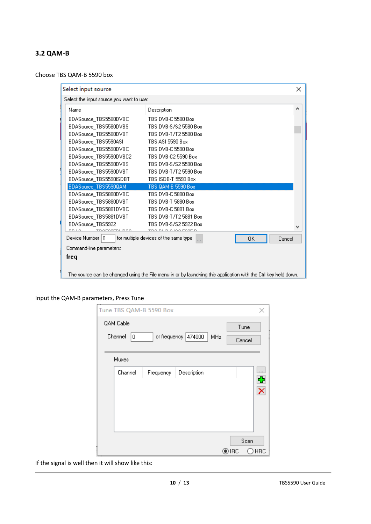#### <span id="page-9-0"></span>**3.2 QAM-B**

Choose TBS QAM-B 5590 box

| Select input source                      |                                                                                                                |    | ×      |
|------------------------------------------|----------------------------------------------------------------------------------------------------------------|----|--------|
| Select the input source you want to use: |                                                                                                                |    |        |
| Name                                     | Description                                                                                                    |    | Α      |
| BDASource TBS5580DVBC                    | TBS DVB-C 5580 Box                                                                                             |    |        |
| BDASource TBS5580DVBS                    | TBS DVB-S/S2 5580 Box                                                                                          |    |        |
| BDASource_TBS5580DVBT                    | TBS DVB-T/T2 5580 Box                                                                                          |    |        |
| BDASource_TBS5590ASI                     | TBS ASI 5590 Box                                                                                               |    |        |
| BDASource_TBS5590DVBC                    | TBS DVB-C 5590 Box                                                                                             |    |        |
| BDASource_TBS5590DVBC2                   | TBS DVB-C2 5590 Box                                                                                            |    |        |
| BDASource_TBS5590DVBS                    | TBS DVB-S/S2 5590 Box                                                                                          |    |        |
| BDASource_TBS5590DVBT                    | TBS DVB-T/T2 5590 Box                                                                                          |    |        |
| BDASource_TBS5590ISDBT                   | TBS ISDB-T 5590 Box                                                                                            |    |        |
| BDASource_TBS5590QAM                     | TBS 0AM-B 5590 Box                                                                                             |    |        |
| BDASource_TBS5880DVBC                    | TBS DVB-C 5880 Box                                                                                             |    |        |
| BDASource_TBS5880DVBT                    | TBS DVB-T 5880 Box                                                                                             |    |        |
| BDASource TBS5881DVBC                    | TBS DVB-C 5881 Box                                                                                             |    |        |
| BDASource_TBS5881DVBT                    | TBS DVB-T/T2 5881 Box                                                                                          |    |        |
| BDASource TBS5922                        | TBS DVB-S/S2 5922 Box                                                                                          |    |        |
|                                          |                                                                                                                |    |        |
| Device Number   0                        | for multiple devices of the same type                                                                          | ΟK | Cancel |
| Command-line parameters:                 |                                                                                                                |    |        |
| freq                                     |                                                                                                                |    |        |
|                                          |                                                                                                                |    |        |
|                                          | The source can be changed using the File menu in or by launching this application with the Ctrl key held down. |    |        |

Input the QAM-B parameters, Press Tune

| Tune TBS QAM-B 5590 Box |   |           |                     |     |       |        |          |
|-------------------------|---|-----------|---------------------|-----|-------|--------|----------|
| QAM Cable               |   |           |                     |     |       | Tune   |          |
| Channel                 | 0 |           | or frequency 474000 | MHz |       | Cancel |          |
|                         |   |           |                     |     |       |        |          |
| Muxes                   |   |           |                     |     |       |        |          |
| Channel                 |   | Frequency | Description         |     |       |        | $\cdots$ |
|                         |   |           |                     |     |       |        | €        |
|                         |   |           |                     |     |       |        |          |
|                         |   |           |                     |     |       |        |          |
|                         |   |           |                     |     |       |        |          |
|                         |   |           |                     |     |       |        |          |
|                         |   |           |                     |     |       | Scan   |          |
|                         |   |           |                     |     | ) IRC |        | ) HRC    |

If the signal is well then it will show like this: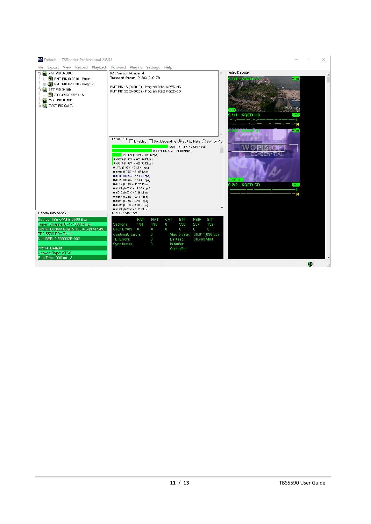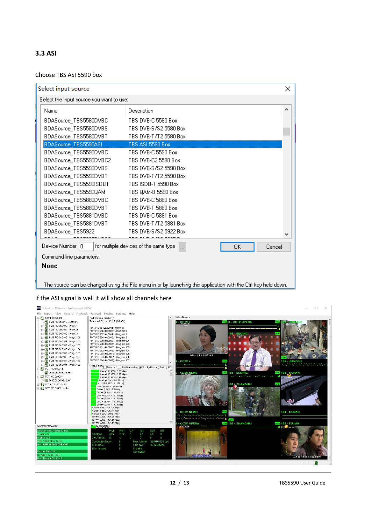#### <span id="page-11-0"></span>**3.3 ASI**

#### Choose TBS ASI 5590 box

| Select input source                      |                                                                                                                |     | ×      |
|------------------------------------------|----------------------------------------------------------------------------------------------------------------|-----|--------|
| Select the input source you want to use: |                                                                                                                |     |        |
| Name                                     | Description                                                                                                    |     | ́      |
| BDASource_TBS5580DVBC                    | TBS DVB-C 5580 Box                                                                                             |     |        |
| BDASource_TBS5580DVBS                    | TBS DVB-S/S2 5580 Box                                                                                          |     |        |
| BDASource_TBS5580DVBT                    | TBS DVB-T/T2 5580 Box                                                                                          |     |        |
| BDASource_TBS5590ASI                     | TBS ASI 5590 Box                                                                                               |     |        |
| BDASource_TBS5590DVBC                    | TBS DVB-C 5590 Box                                                                                             |     |        |
| BDASource_TBS5590DVBC2                   | TBS DVB-C2 5590 Box                                                                                            |     |        |
| BDASource_TBS5590DVBS                    | TBS DVB-S/S2 5590 Box                                                                                          |     |        |
| BDASource_TBS5590DVBT                    | TBS DVB-T/T2 5590 Box                                                                                          |     |        |
| BDASource_TBS5590ISDBT                   | TBS ISDB-T 5590 Box                                                                                            |     |        |
| BDASource_TBS5590QAM                     | TBS QAM-B 5590 Box                                                                                             |     |        |
| BDASource_TBS5880DVBC                    | TBS DVB-C 5880 Box                                                                                             |     |        |
| BDASource_TBS5880DVBT                    | TBS DVB-T 5880 Box                                                                                             |     |        |
| BDASource_TBS5881DVBC                    | TBS DVB-C 5881 Box                                                                                             |     |        |
| BDASource_TBS5881DVBT                    | TBS DVB-T/T2 5881 Box                                                                                          |     |        |
| BDASource TBS5922                        | TBS DVB-S/S2 5922 Box                                                                                          |     |        |
| oroorni moo                              | TOO DUID A IGO FOOT D                                                                                          |     |        |
| Device Number 0                          | for multiple devices of the same type                                                                          | 0K. | Cancel |
| Command-line parameters:                 |                                                                                                                |     |        |
| <b>None</b>                              |                                                                                                                |     |        |
|                                          |                                                                                                                |     |        |
|                                          | The source can be changed using the File menu in or by launching this application with the Ctrl key held down. |     |        |

#### If the ASI signal is well it will show all channels here